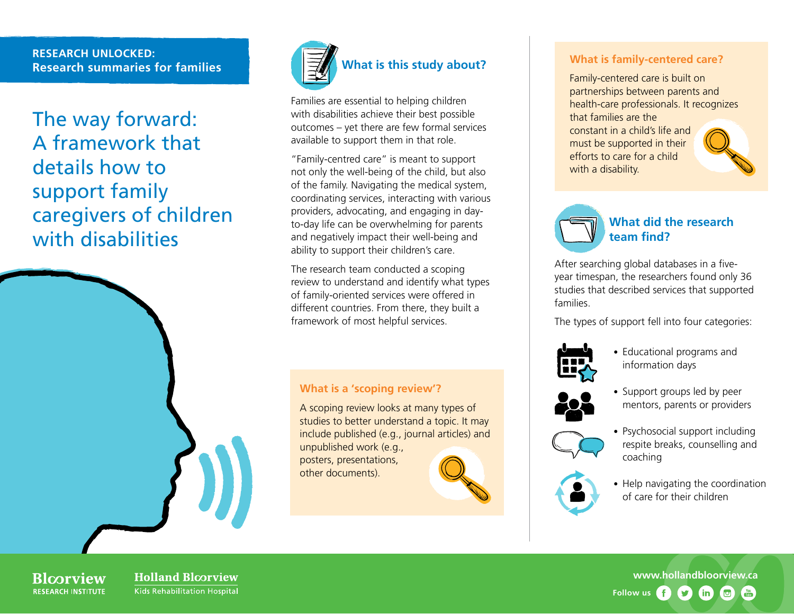## **RESEARCH UNLOCKED: Research summaries for families**

The way forward: A framework that details how to support family caregivers of children with disabilities



Families are essential to helping children with disabilities achieve their best possible outcomes – yet there are few formal services available to support them in that role.

"Family-centred care" is meant to support not only the well-being of the child, but also of the family. Navigating the medical system, coordinating services, interacting with various providers, advocating, and engaging in dayto-day life can be overwhelming for parents and negatively impact their well-being and ability to support their children's care.

The research team conducted a scoping review to understand and identify what types of family-oriented services were offered in different countries. From there, they built a framework of most helpful services.

## **What is a 'scoping review'?**

A scoping review looks at many types of studies to better understand a topic. It may include published (e.g., journal articles) and unpublished work (e.g.,

posters, presentations, other documents).



#### **What is family-centered care?**

Family-centered care is built on partnerships between parents and health-care professionals. It recognizes that families are the constant in a child's life and must be supported in their efforts to care for a child with a disability.



**What did the research team find?**

After searching global databases in a fiveyear timespan, the researchers found only 36 studies that described services that supported families.

The types of support fell into four categories:



• Educational programs and information days



• Support groups led by peer mentors, parents or providers



• Psychosocial support including respite breaks, counselling and coaching



• Help navigating the coordination of care for their children

**Rlcorview RESEARCH INSTITUTE**  **Holland Bloorview** Kids Rehabilitation Hospital

**[www.hollandbloorview.ca](http://www.hollandbloorview.ca) Follow us** (in)  $\overline{C}$  $\frac{V}{I}$